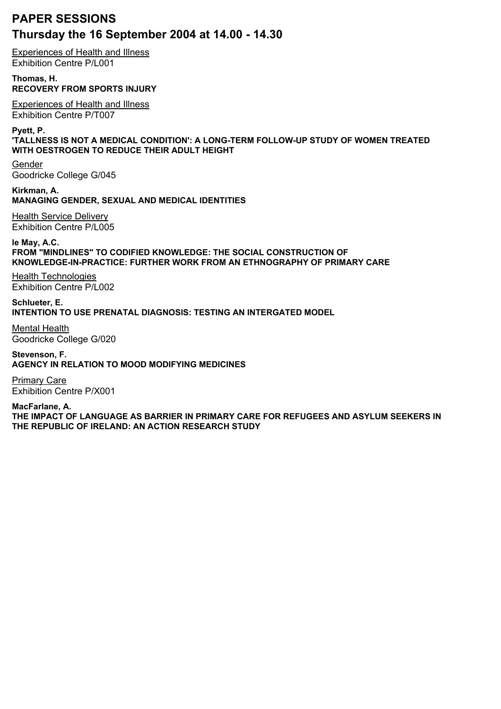## **PAPER SESSIONS Thursday the 16 September 2004 at 14.00 - 14.30**

Experiences of Health and Illness Exhibition Centre P/L001

**Thomas, H. RECOVERY FROM SPORTS INJURY**

Experiences of Health and Illness Exhibition Centre P/T007

**Pyett, P.**

**'TALLNESS IS NOT A MEDICAL CONDITION': A LONG-TERM FOLLOW-UP STUDY OF WOMEN TREATED WITH OESTROGEN TO REDUCE THEIR ADULT HEIGHT**

Gender Goodricke College G/045

**Kirkman, A. MANAGING GENDER, SEXUAL AND MEDICAL IDENTITIES** Health Service Delivery

Exhibition Centre P/L005

**le May, A.C. FROM "MINDLINES" TO CODIFIED KNOWLEDGE: THE SOCIAL CONSTRUCTION OF KNOWLEDGE-IN-PRACTICE: FURTHER WORK FROM AN ETHNOGRAPHY OF PRIMARY CARE**

Health Technologies Exhibition Centre P/L002

**Schlueter, E. INTENTION TO USE PRENATAL DIAGNOSIS: TESTING AN INTERGATED MODEL**

Mental Health Goodricke College G/020

**Stevenson, F. AGENCY IN RELATION TO MOOD MODIFYING MEDICINES**

Primary Care Exhibition Centre P/X001

**MacFarlane, A. THE IMPACT OF LANGUAGE AS BARRIER IN PRIMARY CARE FOR REFUGEES AND ASYLUM SEEKERS IN THE REPUBLIC OF IRELAND: AN ACTION RESEARCH STUDY**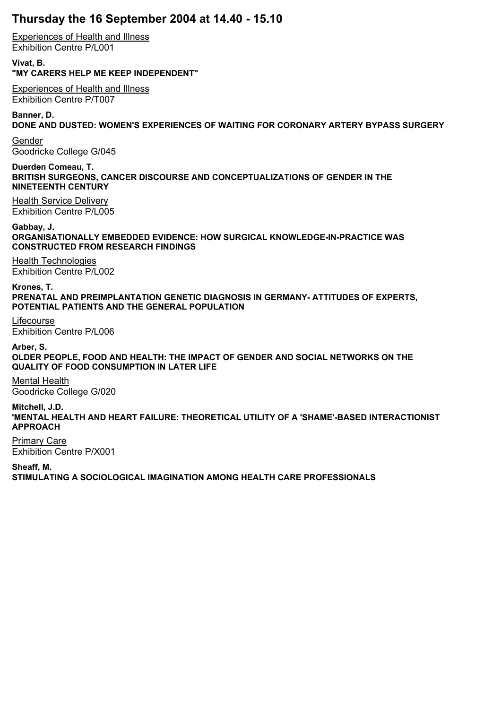## **Thursday the 16 September 2004 at 14.40 - 15.10**

Experiences of Health and Illness Exhibition Centre P/L001

**Vivat, B. "MY CARERS HELP ME KEEP INDEPENDENT"**

Experiences of Health and Illness Exhibition Centre P/T007

**Banner, D.**

**DONE AND DUSTED: WOMEN'S EXPERIENCES OF WAITING FOR CORONARY ARTERY BYPASS SURGERY**

Gender Goodricke College G/045

**Duerden Comeau, T. BRITISH SURGEONS, CANCER DISCOURSE AND CONCEPTUALIZATIONS OF GENDER IN THE NINETEENTH CENTURY**

Health Service Delivery Exhibition Centre P/L005

**Gabbay, J. ORGANISATIONALLY EMBEDDED EVIDENCE: HOW SURGICAL KNOWLEDGE-IN-PRACTICE WAS CONSTRUCTED FROM RESEARCH FINDINGS**

Health Technologies Exhibition Centre P/L002

**Krones, T. PRENATAL AND PREIMPLANTATION GENETIC DIAGNOSIS IN GERMANY- ATTITUDES OF EXPERTS, POTENTIAL PATIENTS AND THE GENERAL POPULATION**

Lifecourse Exhibition Centre P/L006

**Arber, S. OLDER PEOPLE, FOOD AND HEALTH: THE IMPACT OF GENDER AND SOCIAL NETWORKS ON THE QUALITY OF FOOD CONSUMPTION IN LATER LIFE**

Mental Health Goodricke College G/020

**Mitchell, J.D. 'MENTAL HEALTH AND HEART FAILURE: THEORETICAL UTILITY OF A 'SHAME'-BASED INTERACTIONIST APPROACH**

Primary Care Exhibition Centre P/X001

**Sheaff, M. STIMULATING A SOCIOLOGICAL IMAGINATION AMONG HEALTH CARE PROFESSIONALS**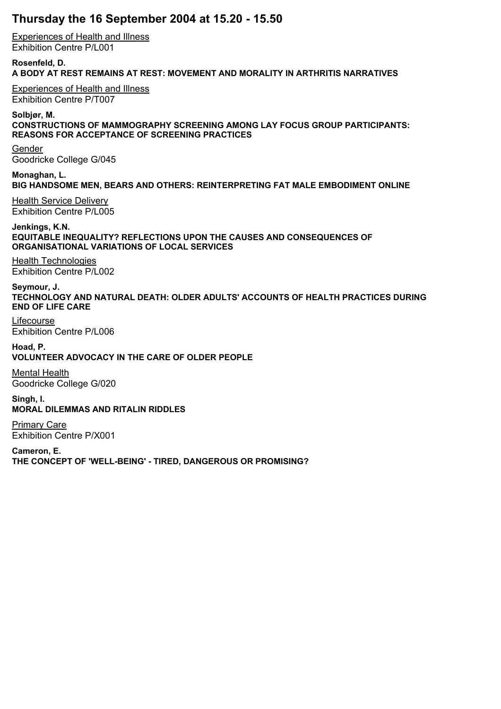## **Thursday the 16 September 2004 at 15.20 - 15.50**

Experiences of Health and Illness Exhibition Centre P/L001

**Rosenfeld, D. A BODY AT REST REMAINS AT REST: MOVEMENT AND MORALITY IN ARTHRITIS NARRATIVES**

Experiences of Health and Illness Exhibition Centre P/T007

**Solbjør, M. CONSTRUCTIONS OF MAMMOGRAPHY SCREENING AMONG LAY FOCUS GROUP PARTICIPANTS: REASONS FOR ACCEPTANCE OF SCREENING PRACTICES**

Gender Goodricke College G/045

**Monaghan, L. BIG HANDSOME MEN, BEARS AND OTHERS: REINTERPRETING FAT MALE EMBODIMENT ONLINE**

Health Service Delivery Exhibition Centre P/L005

**Jenkings, K.N. EQUITABLE INEQUALITY? REFLECTIONS UPON THE CAUSES AND CONSEQUENCES OF ORGANISATIONAL VARIATIONS OF LOCAL SERVICES**

Health Technologies Exhibition Centre P/L002

**Seymour, J. TECHNOLOGY AND NATURAL DEATH: OLDER ADULTS' ACCOUNTS OF HEALTH PRACTICES DURING END OF LIFE CARE**

Lifecourse Exhibition Centre P/L006

**Hoad, P. VOLUNTEER ADVOCACY IN THE CARE OF OLDER PEOPLE**

Mental Health Goodricke College G/020

**Singh, I. MORAL DILEMMAS AND RITALIN RIDDLES**

Primary Care Exhibition Centre P/X001

**Cameron, E. THE CONCEPT OF 'WELL-BEING' - TIRED, DANGEROUS OR PROMISING?**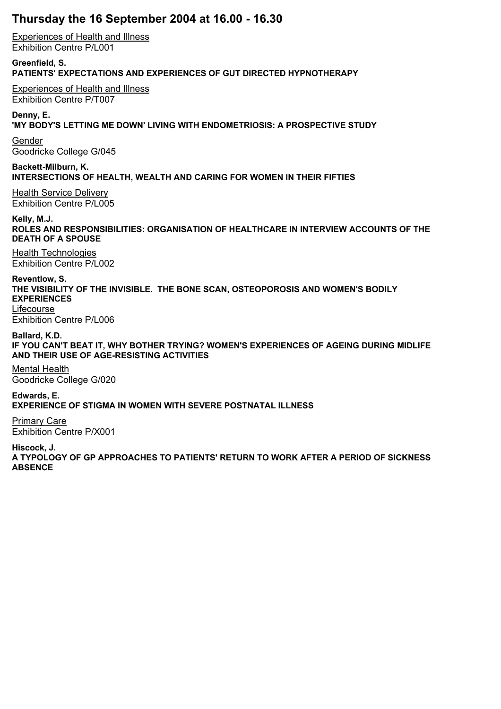## **Thursday the 16 September 2004 at 16.00 - 16.30**

Experiences of Health and Illness Exhibition Centre P/L001

**Greenfield, S. PATIENTS' EXPECTATIONS AND EXPERIENCES OF GUT DIRECTED HYPNOTHERAPY**

Experiences of Health and Illness Exhibition Centre P/T007

**Denny, E. 'MY BODY'S LETTING ME DOWN' LIVING WITH ENDOMETRIOSIS: A PROSPECTIVE STUDY**

Gender Goodricke College G/045

**Backett-Milburn, K. INTERSECTIONS OF HEALTH, WEALTH AND CARING FOR WOMEN IN THEIR FIFTIES**

Health Service Delivery Exhibition Centre P/L005

**Kelly, M.J. ROLES AND RESPONSIBILITIES: ORGANISATION OF HEALTHCARE IN INTERVIEW ACCOUNTS OF THE DEATH OF A SPOUSE**

Health Technologies Exhibition Centre P/L002

**Reventlow, S. THE VISIBILITY OF THE INVISIBLE. THE BONE SCAN, OSTEOPOROSIS AND WOMEN'S BODILY EXPERIENCES** Lifecourse

Exhibition Centre P/L006

**Ballard, K.D. IF YOU CAN'T BEAT IT, WHY BOTHER TRYING? WOMEN'S EXPERIENCES OF AGEING DURING MIDLIFE AND THEIR USE OF AGE-RESISTING ACTIVITIES**

Mental Health Goodricke College G/020

**Edwards, E. EXPERIENCE OF STIGMA IN WOMEN WITH SEVERE POSTNATAL ILLNESS**

Primary Care Exhibition Centre P/X001

**Hiscock, J.**

**A TYPOLOGY OF GP APPROACHES TO PATIENTS' RETURN TO WORK AFTER A PERIOD OF SICKNESS ABSENCE**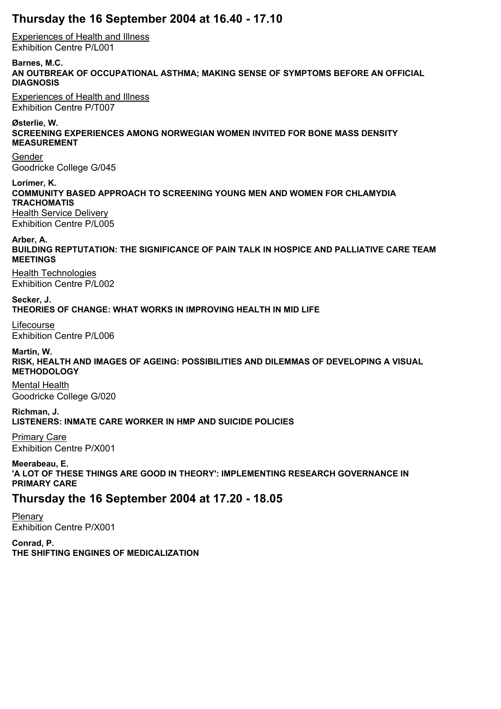### **Thursday the 16 September 2004 at 16.40 - 17.10**

Experiences of Health and Illness Exhibition Centre P/L001

**Barnes, M.C. AN OUTBREAK OF OCCUPATIONAL ASTHMA; MAKING SENSE OF SYMPTOMS BEFORE AN OFFICIAL DIAGNOSIS**

Experiences of Health and Illness Exhibition Centre P/T007

**Østerlie, W. SCREENING EXPERIENCES AMONG NORWEGIAN WOMEN INVITED FOR BONE MASS DENSITY MEASUREMENT**

Gender Goodricke College G/045

**Lorimer, K. COMMUNITY BASED APPROACH TO SCREENING YOUNG MEN AND WOMEN FOR CHLAMYDIA TRACHOMATIS** Health Service Delivery Exhibition Centre P/L005

**Arber, A.**

**BUILDING REPTUTATION: THE SIGNIFICANCE OF PAIN TALK IN HOSPICE AND PALLIATIVE CARE TEAM MEETINGS**

Health Technologies Exhibition Centre P/L002

**Secker, J. THEORIES OF CHANGE: WHAT WORKS IN IMPROVING HEALTH IN MID LIFE**

Lifecourse Exhibition Centre P/L006

**Martin, W. RISK, HEALTH AND IMAGES OF AGEING: POSSIBILITIES AND DILEMMAS OF DEVELOPING A VISUAL METHODOLOGY**

Mental Health Goodricke College G/020

**Richman, J. LISTENERS: INMATE CARE WORKER IN HMP AND SUICIDE POLICIES**

Primary Care Exhibition Centre P/X001

**Meerabeau, E. 'A LOT OF THESE THINGS ARE GOOD IN THEORY': IMPLEMENTING RESEARCH GOVERNANCE IN PRIMARY CARE**

### **Thursday the 16 September 2004 at 17.20 - 18.05**

Plenary Exhibition Centre P/X001

**Conrad, P. THE SHIFTING ENGINES OF MEDICALIZATION**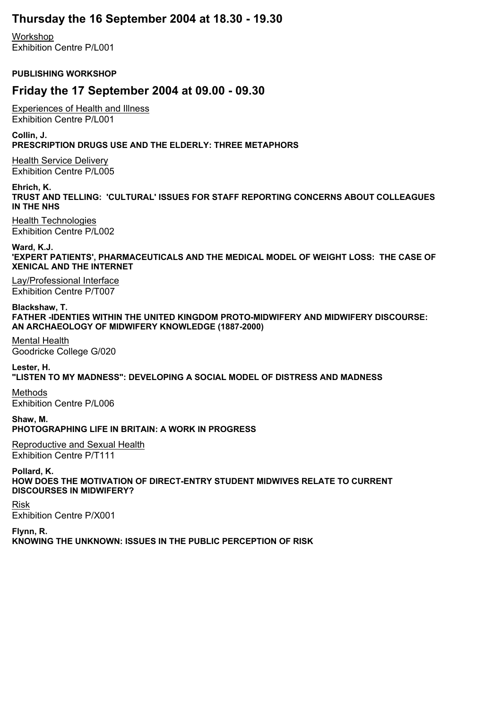### **Thursday the 16 September 2004 at 18.30 - 19.30**

Workshop Exhibition Centre P/L001

#### **PUBLISHING WORKSHOP**

### **Friday the 17 September 2004 at 09.00 - 09.30**

Experiences of Health and Illness Exhibition Centre P/L001

**Collin, J. PRESCRIPTION DRUGS USE AND THE ELDERLY: THREE METAPHORS**

Health Service Delivery Exhibition Centre P/L005

**Ehrich, K. TRUST AND TELLING: 'CULTURAL' ISSUES FOR STAFF REPORTING CONCERNS ABOUT COLLEAGUES IN THE NHS**

Health Technologies Exhibition Centre P/L002

**Ward, K.J.**

**'EXPERT PATIENTS', PHARMACEUTICALS AND THE MEDICAL MODEL OF WEIGHT LOSS: THE CASE OF XENICAL AND THE INTERNET**

Lay/Professional Interface Exhibition Centre P/T007

**Blackshaw, T. FATHER -IDENTIES WITHIN THE UNITED KINGDOM PROTO-MIDWIFERY AND MIDWIFERY DISCOURSE: AN ARCHAEOLOGY OF MIDWIFERY KNOWLEDGE (1887-2000)**

Mental Health Goodricke College G/020

**Lester, H. "LISTEN TO MY MADNESS": DEVELOPING A SOCIAL MODEL OF DISTRESS AND MADNESS**

Methods Exhibition Centre P/L006

**Shaw, M. PHOTOGRAPHING LIFE IN BRITAIN: A WORK IN PROGRESS**

Reproductive and Sexual Health Exhibition Centre P/T111

**Pollard, K. HOW DOES THE MOTIVATION OF DIRECT-ENTRY STUDENT MIDWIVES RELATE TO CURRENT DISCOURSES IN MIDWIFERY?**

Risk Exhibition Centre P/X001

**Flynn, R. KNOWING THE UNKNOWN: ISSUES IN THE PUBLIC PERCEPTION OF RISK**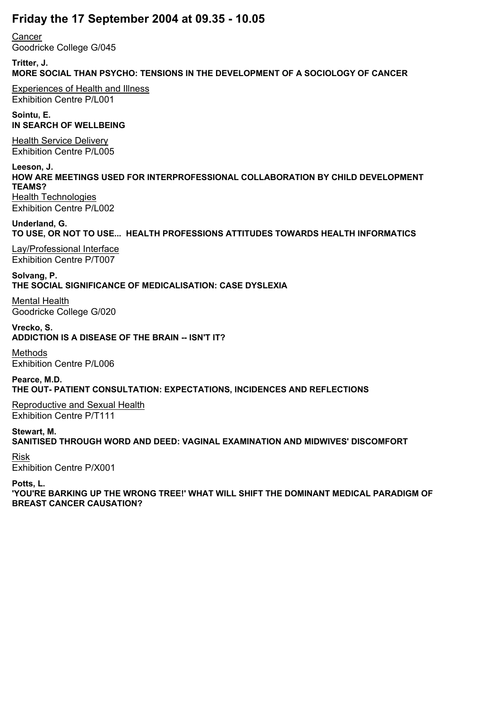# **Friday the 17 September 2004 at 09.35 - 10.05**

**Cancer** Goodricke College G/045

**Tritter, J. MORE SOCIAL THAN PSYCHO: TENSIONS IN THE DEVELOPMENT OF A SOCIOLOGY OF CANCER**

Experiences of Health and Illness Exhibition Centre P/L001

**Sointu, E. IN SEARCH OF WELLBEING**

Health Service Delivery Exhibition Centre P/L005

**Leeson, J. HOW ARE MEETINGS USED FOR INTERPROFESSIONAL COLLABORATION BY CHILD DEVELOPMENT TEAMS?** Health Technologies Exhibition Centre P/L002

**Underland, G. TO USE, OR NOT TO USE... HEALTH PROFESSIONS ATTITUDES TOWARDS HEALTH INFORMATICS**

Lay/Professional Interface Exhibition Centre P/T007

**Solvang, P. THE SOCIAL SIGNIFICANCE OF MEDICALISATION: CASE DYSLEXIA**

Mental Health Goodricke College G/020

**Vrecko, S. ADDICTION IS A DISEASE OF THE BRAIN -- ISN'T IT?**

Methods Exhibition Centre P/L006

**Pearce, M.D. THE OUT- PATIENT CONSULTATION: EXPECTATIONS, INCIDENCES AND REFLECTIONS**

Reproductive and Sexual Health Exhibition Centre P/T111

**Stewart, M. SANITISED THROUGH WORD AND DEED: VAGINAL EXAMINATION AND MIDWIVES' DISCOMFORT**

Risk Exhibition Centre P/X001

**Potts, L.**

**'YOU'RE BARKING UP THE WRONG TREE!' WHAT WILL SHIFT THE DOMINANT MEDICAL PARADIGM OF BREAST CANCER CAUSATION?**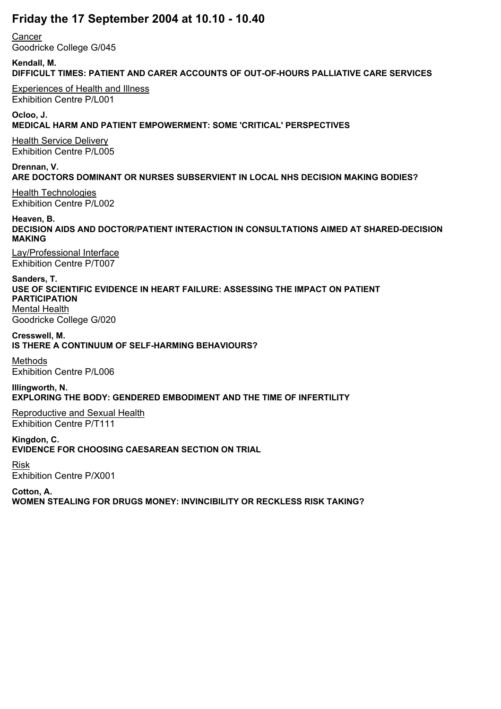# **Friday the 17 September 2004 at 10.10 - 10.40**

**Cancer** Goodricke College G/045

**Kendall, M. DIFFICULT TIMES: PATIENT AND CARER ACCOUNTS OF OUT-OF-HOURS PALLIATIVE CARE SERVICES**

Experiences of Health and Illness Exhibition Centre P/L001

**Ocloo, J. MEDICAL HARM AND PATIENT EMPOWERMENT: SOME 'CRITICAL' PERSPECTIVES**

Health Service Delivery Exhibition Centre P/L005

**Drennan, V. ARE DOCTORS DOMINANT OR NURSES SUBSERVIENT IN LOCAL NHS DECISION MAKING BODIES?**

Health Technologies Exhibition Centre P/L002

**Heaven, B. DECISION AIDS AND DOCTOR/PATIENT INTERACTION IN CONSULTATIONS AIMED AT SHARED-DECISION MAKING**

Lay/Professional Interface Exhibition Centre P/T007

**Sanders, T. USE OF SCIENTIFIC EVIDENCE IN HEART FAILURE: ASSESSING THE IMPACT ON PATIENT PARTICIPATION**

Mental Health Goodricke College G/020

**Cresswell, M. IS THERE A CONTINUUM OF SELF-HARMING BEHAVIOURS?**

Methods Exhibition Centre P/L006

**Illingworth, N. EXPLORING THE BODY: GENDERED EMBODIMENT AND THE TIME OF INFERTILITY**

Reproductive and Sexual Health Exhibition Centre P/T111

**Kingdon, C. EVIDENCE FOR CHOOSING CAESAREAN SECTION ON TRIAL**

Risk Exhibition Centre P/X001

**Cotton, A. WOMEN STEALING FOR DRUGS MONEY: INVINCIBILITY OR RECKLESS RISK TAKING?**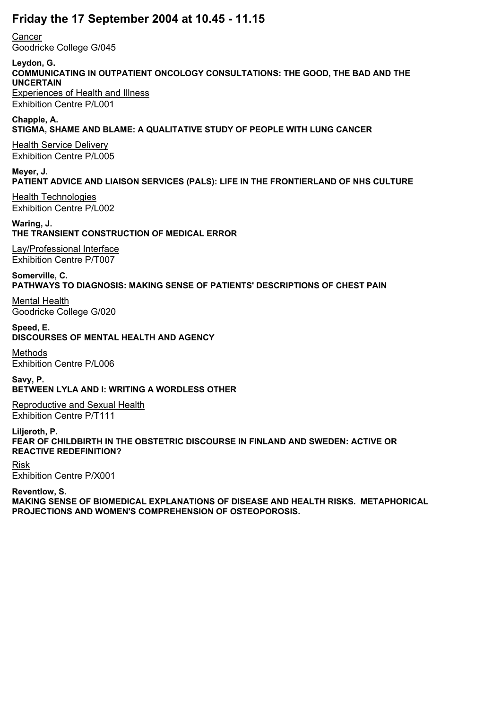### **Friday the 17 September 2004 at 10.45 - 11.15**

**Cancer** Goodricke College G/045

# **Leydon, G.**

**COMMUNICATING IN OUTPATIENT ONCOLOGY CONSULTATIONS: THE GOOD, THE BAD AND THE UNCERTAIN** Experiences of Health and Illness

Exhibition Centre P/L001

#### **Chapple, A. STIGMA, SHAME AND BLAME: A QUALITATIVE STUDY OF PEOPLE WITH LUNG CANCER**

Health Service Delivery Exhibition Centre P/L005

**Meyer, J. PATIENT ADVICE AND LIAISON SERVICES (PALS): LIFE IN THE FRONTIERLAND OF NHS CULTURE**

Health Technologies Exhibition Centre P/L002

**Waring, J. THE TRANSIENT CONSTRUCTION OF MEDICAL ERROR**

Lay/Professional Interface Exhibition Centre P/T007

**Somerville, C. PATHWAYS TO DIAGNOSIS: MAKING SENSE OF PATIENTS' DESCRIPTIONS OF CHEST PAIN**

Mental Health Goodricke College G/020

**Speed, E. DISCOURSES OF MENTAL HEALTH AND AGENCY**

Methods Exhibition Centre P/L006

**Savy, P. BETWEEN LYLA AND I: WRITING A WORDLESS OTHER**

Reproductive and Sexual Health Exhibition Centre P/T111

**Liljeroth, P. FEAR OF CHILDBIRTH IN THE OBSTETRIC DISCOURSE IN FINLAND AND SWEDEN: ACTIVE OR REACTIVE REDEFINITION?**

Risk Exhibition Centre P/X001

**Reventlow, S. MAKING SENSE OF BIOMEDICAL EXPLANATIONS OF DISEASE AND HEALTH RISKS. METAPHORICAL PROJECTIONS AND WOMEN'S COMPREHENSION OF OSTEOPOROSIS.**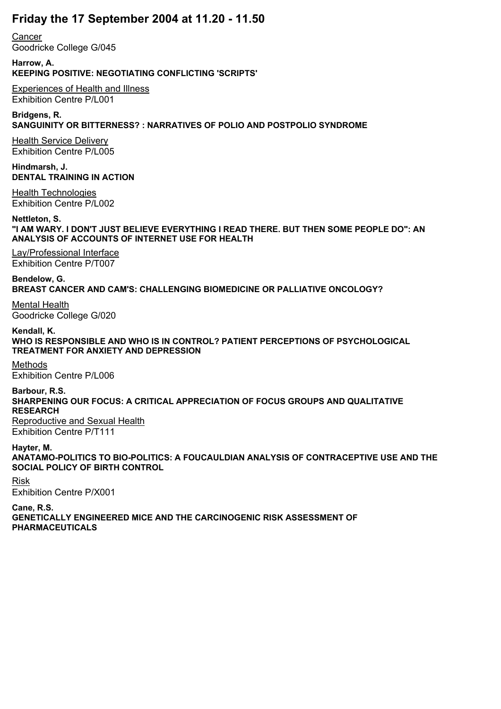## **Friday the 17 September 2004 at 11.20 - 11.50**

**Cancer** Goodricke College G/045

**Harrow, A. KEEPING POSITIVE: NEGOTIATING CONFLICTING 'SCRIPTS'**

Experiences of Health and Illness Exhibition Centre P/L001

**Bridgens, R. SANGUINITY OR BITTERNESS? : NARRATIVES OF POLIO AND POSTPOLIO SYNDROME**

Health Service Delivery Exhibition Centre P/L005

**Hindmarsh, J. DENTAL TRAINING IN ACTION**

Health Technologies Exhibition Centre P/L002

**Nettleton, S. "I AM WARY. I DON'T JUST BELIEVE EVERYTHING I READ THERE. BUT THEN SOME PEOPLE DO": AN ANALYSIS OF ACCOUNTS OF INTERNET USE FOR HEALTH**

Lay/Professional Interface Exhibition Centre P/T007

**Bendelow, G. BREAST CANCER AND CAM'S: CHALLENGING BIOMEDICINE OR PALLIATIVE ONCOLOGY?**

Mental Health Goodricke College G/020

**Kendall, K. WHO IS RESPONSIBLE AND WHO IS IN CONTROL? PATIENT PERCEPTIONS OF PSYCHOLOGICAL TREATMENT FOR ANXIETY AND DEPRESSION**

Methods Exhibition Centre P/L006

**Barbour, R.S. SHARPENING OUR FOCUS: A CRITICAL APPRECIATION OF FOCUS GROUPS AND QUALITATIVE RESEARCH** Reproductive and Sexual Health Exhibition Centre P/T111

**Hayter, M. ANATAMO-POLITICS TO BIO-POLITICS: A FOUCAULDIAN ANALYSIS OF CONTRACEPTIVE USE AND THE SOCIAL POLICY OF BIRTH CONTROL**

Risk Exhibition Centre P/X001 **Cane, R.S. GENETICALLY ENGINEERED MICE AND THE CARCINOGENIC RISK ASSESSMENT OF PHARMACEUTICALS**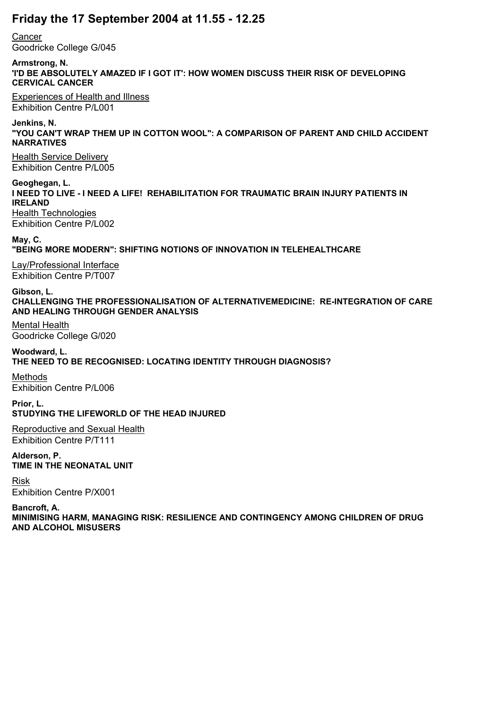### **Friday the 17 September 2004 at 11.55 - 12.25**

**Cancer** 

Goodricke College G/045

**Armstrong, N.**

**'I'D BE ABSOLUTELY AMAZED IF I GOT IT': HOW WOMEN DISCUSS THEIR RISK OF DEVELOPING CERVICAL CANCER**

Experiences of Health and Illness Exhibition Centre P/L001

**Jenkins, N.**

**"YOU CAN'T WRAP THEM UP IN COTTON WOOL": A COMPARISON OF PARENT AND CHILD ACCIDENT NARRATIVES**

Health Service Delivery Exhibition Centre P/L005

**Geoghegan, L. I NEED TO LIVE - I NEED A LIFE! REHABILITATION FOR TRAUMATIC BRAIN INJURY PATIENTS IN IRELAND Health Technologies** Exhibition Centre P/L002

**May, C. "BEING MORE MODERN": SHIFTING NOTIONS OF INNOVATION IN TELEHEALTHCARE**

Lay/Professional Interface Exhibition Centre P/T007

**Gibson, L. CHALLENGING THE PROFESSIONALISATION OF ALTERNATIVEMEDICINE: RE-INTEGRATION OF CARE AND HEALING THROUGH GENDER ANALYSIS**

Mental Health Goodricke College G/020

**Woodward, L. THE NEED TO BE RECOGNISED: LOCATING IDENTITY THROUGH DIAGNOSIS?**

Methods Exhibition Centre P/L006

**Prior, L. STUDYING THE LIFEWORLD OF THE HEAD INJURED**

Reproductive and Sexual Health Exhibition Centre P/T111

**Alderson, P. TIME IN THE NEONATAL UNIT**

Risk Exhibition Centre P/X001

**Bancroft, A. MINIMISING HARM, MANAGING RISK: RESILIENCE AND CONTINGENCY AMONG CHILDREN OF DRUG AND ALCOHOL MISUSERS**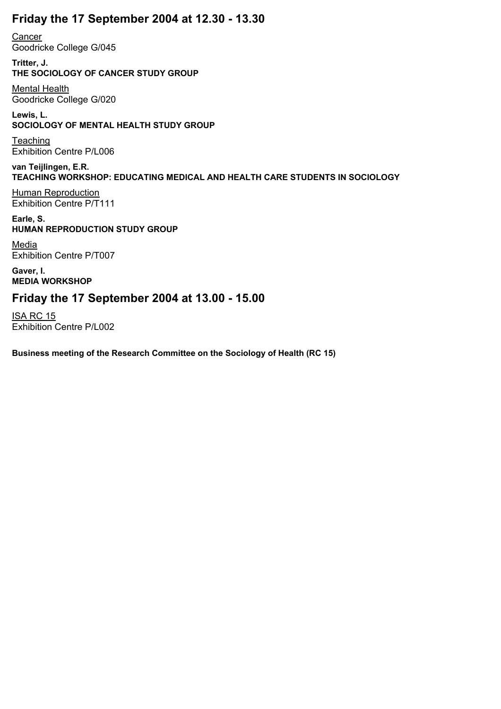## **Friday the 17 September 2004 at 12.30 - 13.30**

**Cancer** Goodricke College G/045

**Tritter, J. THE SOCIOLOGY OF CANCER STUDY GROUP**

Mental Health Goodricke College G/020

#### **Lewis, L. SOCIOLOGY OF MENTAL HEALTH STUDY GROUP**

**Teaching** Exhibition Centre P/L006

#### **van Teijlingen, E.R. TEACHING WORKSHOP: EDUCATING MEDICAL AND HEALTH CARE STUDENTS IN SOCIOLOGY**

**Human Reproduction** Exhibition Centre P/T111

#### **Earle, S. HUMAN REPRODUCTION STUDY GROUP**

Media Exhibition Centre P/T007

**Gaver, I. MEDIA WORKSHOP**

## **Friday the 17 September 2004 at 13.00 - 15.00**

ISA RC 15 Exhibition Centre P/L002

**Business meeting of the Research Committee on the Sociology of Health (RC 15)**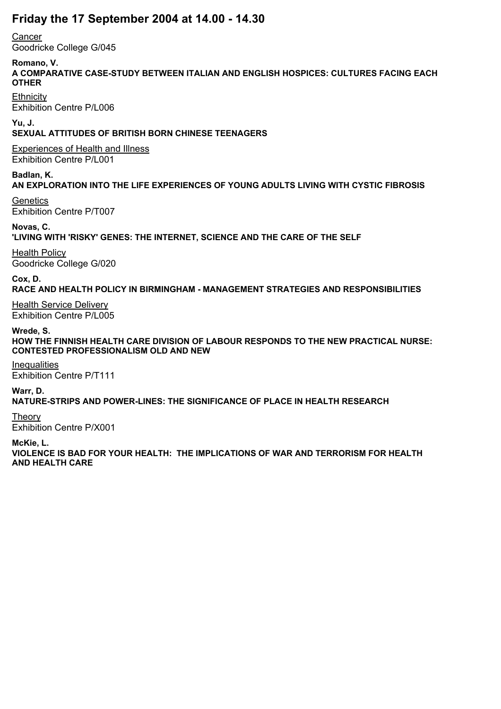## **Friday the 17 September 2004 at 14.00 - 14.30**

**Cancer** 

Goodricke College G/045

**Romano, V.**

**A COMPARATIVE CASE-STUDY BETWEEN ITALIAN AND ENGLISH HOSPICES: CULTURES FACING EACH OTHER**

**Ethnicity** Exhibition Centre P/L006

**Yu, J.**

**SEXUAL ATTITUDES OF BRITISH BORN CHINESE TEENAGERS**

Experiences of Health and Illness Exhibition Centre P/L001

**Badlan, K. AN EXPLORATION INTO THE LIFE EXPERIENCES OF YOUNG ADULTS LIVING WITH CYSTIC FIBROSIS**

**Genetics** Exhibition Centre P/T007

**Novas, C. 'LIVING WITH 'RISKY' GENES: THE INTERNET, SCIENCE AND THE CARE OF THE SELF**

Health Policy Goodricke College G/020

**Cox, D.**

**RACE AND HEALTH POLICY IN BIRMINGHAM - MANAGEMENT STRATEGIES AND RESPONSIBILITIES**

Health Service Delivery Exhibition Centre P/L005

**Wrede, S.**

**HOW THE FINNISH HEALTH CARE DIVISION OF LABOUR RESPONDS TO THE NEW PRACTICAL NURSE: CONTESTED PROFESSIONALISM OLD AND NEW**

**Inequalities** Exhibition Centre P/T111

**Warr, D.**

**NATURE-STRIPS AND POWER-LINES: THE SIGNIFICANCE OF PLACE IN HEALTH RESEARCH**

Theory Exhibition Centre P/X001

**McKie, L.**

**VIOLENCE IS BAD FOR YOUR HEALTH: THE IMPLICATIONS OF WAR AND TERRORISM FOR HEALTH AND HEALTH CARE**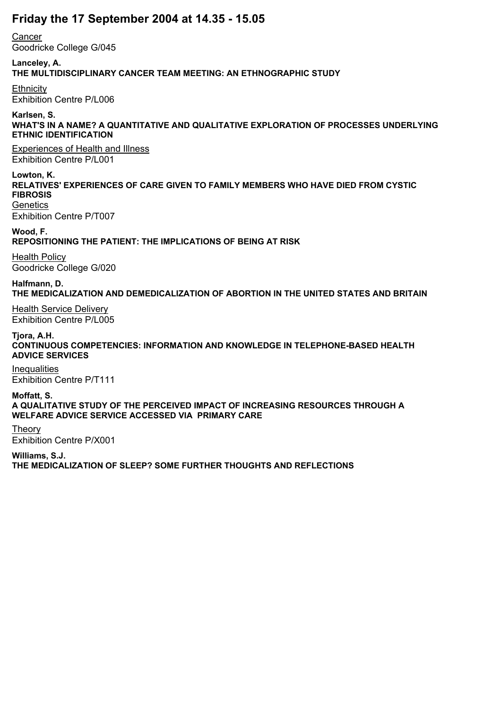## **Friday the 17 September 2004 at 14.35 - 15.05**

**Cancer** Goodricke College G/045

**Lanceley, A. THE MULTIDISCIPLINARY CANCER TEAM MEETING: AN ETHNOGRAPHIC STUDY**

**Ethnicity** Exhibition Centre P/L006

#### **Karlsen, S. WHAT'S IN A NAME? A QUANTITATIVE AND QUALITATIVE EXPLORATION OF PROCESSES UNDERLYING ETHNIC IDENTIFICATION**

Experiences of Health and Illness Exhibition Centre P/L001

**Lowton, K. RELATIVES' EXPERIENCES OF CARE GIVEN TO FAMILY MEMBERS WHO HAVE DIED FROM CYSTIC FIBROSIS Genetics** 

Exhibition Centre P/T007

**Wood, F. REPOSITIONING THE PATIENT: THE IMPLICATIONS OF BEING AT RISK**

Health Policy Goodricke College G/020

**Halfmann, D. THE MEDICALIZATION AND DEMEDICALIZATION OF ABORTION IN THE UNITED STATES AND BRITAIN**

Health Service Delivery Exhibition Centre P/L005

**Tjora, A.H. CONTINUOUS COMPETENCIES: INFORMATION AND KNOWLEDGE IN TELEPHONE-BASED HEALTH ADVICE SERVICES**

**Inequalities** Exhibition Centre P/T111

**Moffatt, S. A QUALITATIVE STUDY OF THE PERCEIVED IMPACT OF INCREASING RESOURCES THROUGH A WELFARE ADVICE SERVICE ACCESSED VIA PRIMARY CARE**

Theory Exhibition Centre P/X001

**Williams, S.J. THE MEDICALIZATION OF SLEEP? SOME FURTHER THOUGHTS AND REFLECTIONS**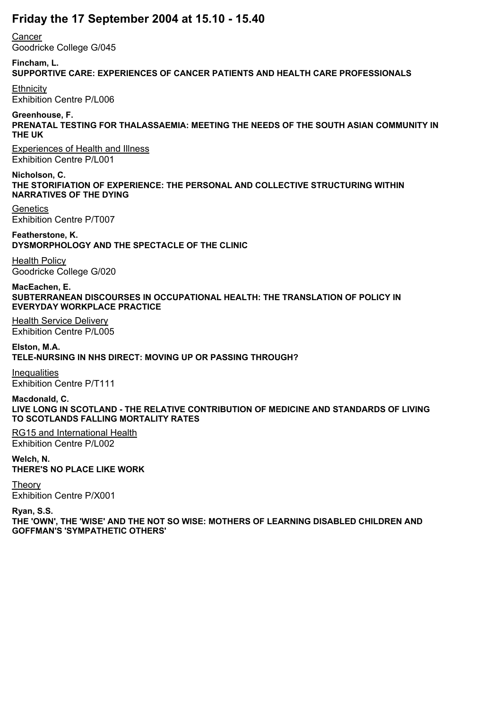## **Friday the 17 September 2004 at 15.10 - 15.40**

**Cancer** 

Goodricke College G/045

### **Fincham, L.**

### **SUPPORTIVE CARE: EXPERIENCES OF CANCER PATIENTS AND HEALTH CARE PROFESSIONALS**

**Ethnicity** Exhibition Centre P/L006

### **Greenhouse, F.**

**PRENATAL TESTING FOR THALASSAEMIA: MEETING THE NEEDS OF THE SOUTH ASIAN COMMUNITY IN THE UK**

Experiences of Health and Illness Exhibition Centre P/L001

**Nicholson, C. THE STORIFIATION OF EXPERIENCE: THE PERSONAL AND COLLECTIVE STRUCTURING WITHIN NARRATIVES OF THE DYING**

**Genetics** Exhibition Centre P/T007

**Featherstone, K. DYSMORPHOLOGY AND THE SPECTACLE OF THE CLINIC**

Health Policy Goodricke College G/020

**MacEachen, E. SUBTERRANEAN DISCOURSES IN OCCUPATIONAL HEALTH: THE TRANSLATION OF POLICY IN EVERYDAY WORKPLACE PRACTICE**

Health Service Delivery Exhibition Centre P/L005

**Elston, M.A. TELE-NURSING IN NHS DIRECT: MOVING UP OR PASSING THROUGH?**

**Inequalities** Exhibition Centre P/T111

**Macdonald, C. LIVE LONG IN SCOTLAND - THE RELATIVE CONTRIBUTION OF MEDICINE AND STANDARDS OF LIVING TO SCOTLANDS FALLING MORTALITY RATES**

RG15 and International Health Exhibition Centre P/L002

**Welch, N. THERE'S NO PLACE LIKE WORK**

**Theory** Exhibition Centre P/X001

**Ryan, S.S.**

**THE 'OWN', THE 'WISE' AND THE NOT SO WISE: MOTHERS OF LEARNING DISABLED CHILDREN AND GOFFMAN'S 'SYMPATHETIC OTHERS'**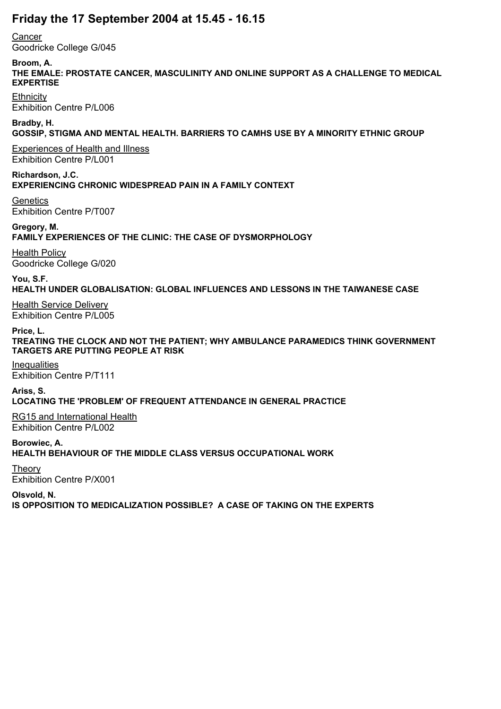# **Friday the 17 September 2004 at 15.45 - 16.15**

**Cancer** 

Goodricke College G/045

**Broom, A.**

**THE EMALE: PROSTATE CANCER, MASCULINITY AND ONLINE SUPPORT AS A CHALLENGE TO MEDICAL EXPERTISE**

**Ethnicity** Exhibition Centre P/L006

**Bradby, H. GOSSIP, STIGMA AND MENTAL HEALTH. BARRIERS TO CAMHS USE BY A MINORITY ETHNIC GROUP**

Experiences of Health and Illness Exhibition Centre P/L001

**Richardson, J.C. EXPERIENCING CHRONIC WIDESPREAD PAIN IN A FAMILY CONTEXT**

**Genetics** Exhibition Centre P/T007

**Gregory, M. FAMILY EXPERIENCES OF THE CLINIC: THE CASE OF DYSMORPHOLOGY**

Health Policy Goodricke College G/020

**You, S.F. HEALTH UNDER GLOBALISATION: GLOBAL INFLUENCES AND LESSONS IN THE TAIWANESE CASE**

Health Service Delivery Exhibition Centre P/L005

**Price, L.**

**TREATING THE CLOCK AND NOT THE PATIENT; WHY AMBULANCE PARAMEDICS THINK GOVERNMENT TARGETS ARE PUTTING PEOPLE AT RISK**

**Inequalities** Exhibition Centre P/T111

**Ariss, S. LOCATING THE 'PROBLEM' OF FREQUENT ATTENDANCE IN GENERAL PRACTICE**

RG15 and International Health Exhibition Centre P/L002

**Borowiec, A. HEALTH BEHAVIOUR OF THE MIDDLE CLASS VERSUS OCCUPATIONAL WORK**

Theory Exhibition Centre P/X001

**Olsvold, N.**

**IS OPPOSITION TO MEDICALIZATION POSSIBLE? A CASE OF TAKING ON THE EXPERTS**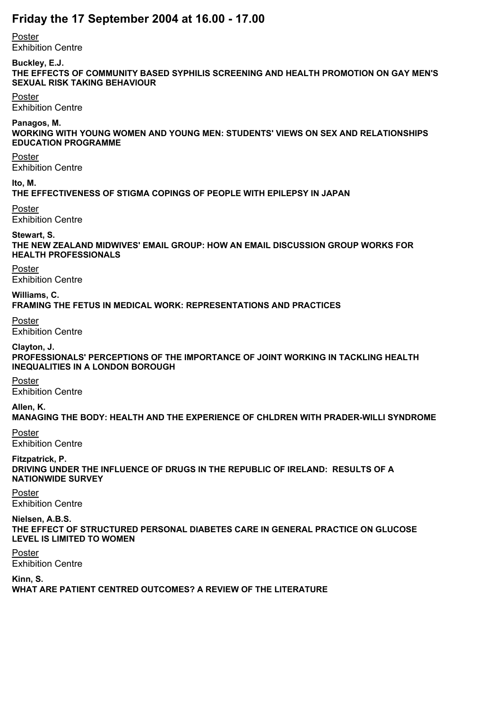## **Friday the 17 September 2004 at 16.00 - 17.00**

Poster

Exhibition Centre

### **Buckley, E.J.**

**THE EFFECTS OF COMMUNITY BASED SYPHILIS SCREENING AND HEALTH PROMOTION ON GAY MEN'S SEXUAL RISK TAKING BEHAVIOUR**

#### Poster

Exhibition Centre

#### **Panagos, M.**

**WORKING WITH YOUNG WOMEN AND YOUNG MEN: STUDENTS' VIEWS ON SEX AND RELATIONSHIPS EDUCATION PROGRAMME**

#### Poster

Exhibition Centre

#### **Ito, M.**

**THE EFFECTIVENESS OF STIGMA COPINGS OF PEOPLE WITH EPILEPSY IN JAPAN**

#### Poster

Exhibition Centre

#### **Stewart, S.**

**THE NEW ZEALAND MIDWIVES' EMAIL GROUP: HOW AN EMAIL DISCUSSION GROUP WORKS FOR HEALTH PROFESSIONALS**

#### Poster

Exhibition Centre

## **Williams, C.**

**FRAMING THE FETUS IN MEDICAL WORK: REPRESENTATIONS AND PRACTICES**

#### Poster

Exhibition Centre

#### **Clayton, J.**

**PROFESSIONALS' PERCEPTIONS OF THE IMPORTANCE OF JOINT WORKING IN TACKLING HEALTH INEQUALITIES IN A LONDON BOROUGH**

# Poster

Exhibition Centre

### **Allen, K.**

**MANAGING THE BODY: HEALTH AND THE EXPERIENCE OF CHLDREN WITH PRADER-WILLI SYNDROME**

## Poster

Exhibition Centre

# **Fitzpatrick, P.**

**DRIVING UNDER THE INFLUENCE OF DRUGS IN THE REPUBLIC OF IRELAND: RESULTS OF A NATIONWIDE SURVEY**

#### Poster Exhibition Centre

### **Nielsen, A.B.S.**

**THE EFFECT OF STRUCTURED PERSONAL DIABETES CARE IN GENERAL PRACTICE ON GLUCOSE LEVEL IS LIMITED TO WOMEN**

# Poster

Exhibition Centre

### **Kinn, S.**

**WHAT ARE PATIENT CENTRED OUTCOMES? A REVIEW OF THE LITERATURE**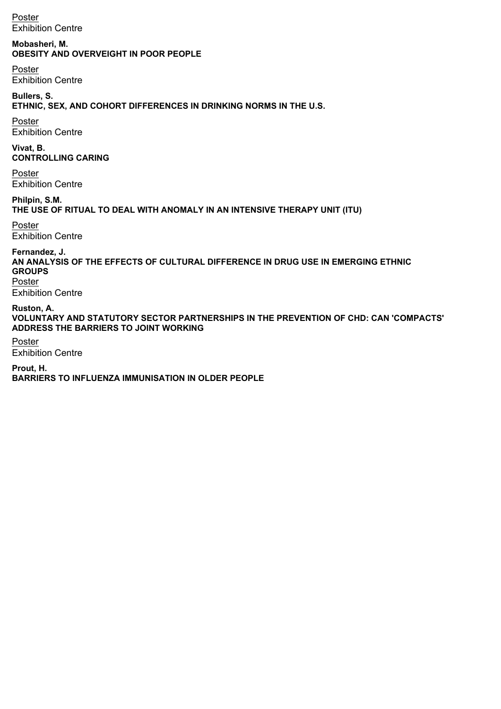Poster Exhibition Centre

**Mobasheri, M. OBESITY AND OVERVEIGHT IN POOR PEOPLE**

Poster Exhibition Centre

**Bullers, S. ETHNIC, SEX, AND COHORT DIFFERENCES IN DRINKING NORMS IN THE U.S.**

Poster Exhibition Centre

**Vivat, B. CONTROLLING CARING**

Poster Exhibition Centre

**Philpin, S.M. THE USE OF RITUAL TO DEAL WITH ANOMALY IN AN INTENSIVE THERAPY UNIT (ITU)**

Poster Exhibition Centre

**Fernandez, J.**

**AN ANALYSIS OF THE EFFECTS OF CULTURAL DIFFERENCE IN DRUG USE IN EMERGING ETHNIC GROUPS** Poster

Exhibition Centre

**Ruston, A. VOLUNTARY AND STATUTORY SECTOR PARTNERSHIPS IN THE PREVENTION OF CHD: CAN 'COMPACTS' ADDRESS THE BARRIERS TO JOINT WORKING**

Poster Exhibition Centre

**Prout, H. BARRIERS TO INFLUENZA IMMUNISATION IN OLDER PEOPLE**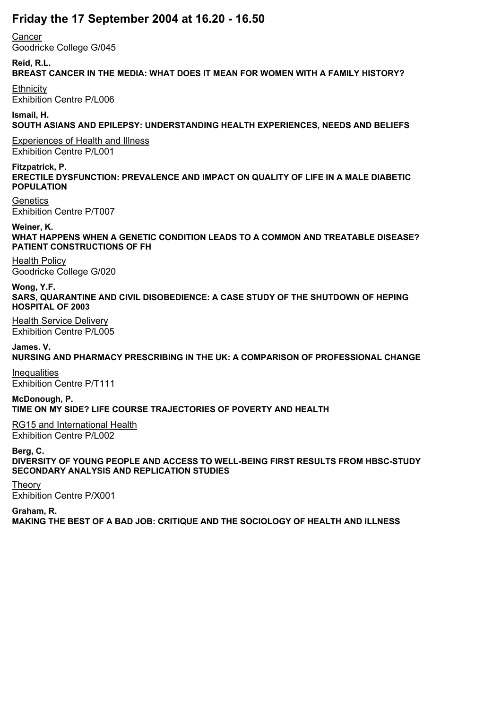## **Friday the 17 September 2004 at 16.20 - 16.50**

**Cancer** 

Goodricke College G/045

#### **Reid, R.L.**

### **BREAST CANCER IN THE MEDIA: WHAT DOES IT MEAN FOR WOMEN WITH A FAMILY HISTORY?**

**Ethnicity** Exhibition Centre P/L006

#### **Ismail, H. SOUTH ASIANS AND EPILEPSY: UNDERSTANDING HEALTH EXPERIENCES, NEEDS AND BELIEFS**

Experiences of Health and Illness Exhibition Centre P/L001

#### **Fitzpatrick, P.**

**ERECTILE DYSFUNCTION: PREVALENCE AND IMPACT ON QUALITY OF LIFE IN A MALE DIABETIC POPULATION**

**Genetics** Exhibition Centre P/T007

**Weiner, K. WHAT HAPPENS WHEN A GENETIC CONDITION LEADS TO A COMMON AND TREATABLE DISEASE? PATIENT CONSTRUCTIONS OF FH**

Health Policy Goodricke College G/020

**Wong, Y.F. SARS, QUARANTINE AND CIVIL DISOBEDIENCE: A CASE STUDY OF THE SHUTDOWN OF HEPING HOSPITAL OF 2003**

Health Service Delivery Exhibition Centre P/L005

**James. V. NURSING AND PHARMACY PRESCRIBING IN THE UK: A COMPARISON OF PROFESSIONAL CHANGE**

**Inequalities** Exhibition Centre P/T111

**McDonough, P. TIME ON MY SIDE? LIFE COURSE TRAJECTORIES OF POVERTY AND HEALTH**

RG15 and International Health Exhibition Centre P/L002

**Berg, C.**

**DIVERSITY OF YOUNG PEOPLE AND ACCESS TO WELL-BEING FIRST RESULTS FROM HBSC-STUDY SECONDARY ANALYSIS AND REPLICATION STUDIES**

**Theory** Exhibition Centre P/X001

**Graham, R.**

**MAKING THE BEST OF A BAD JOB: CRITIQUE AND THE SOCIOLOGY OF HEALTH AND ILLNESS**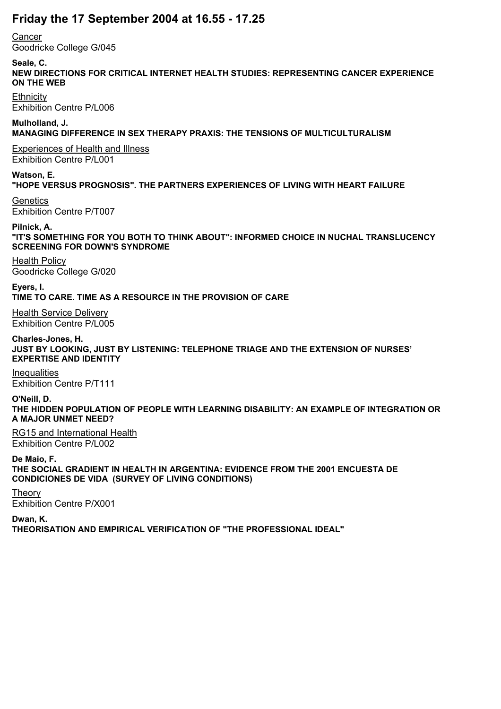# **Friday the 17 September 2004 at 16.55 - 17.25**

**Cancer** 

Goodricke College G/045

**Seale, C.**

**NEW DIRECTIONS FOR CRITICAL INTERNET HEALTH STUDIES: REPRESENTING CANCER EXPERIENCE ON THE WEB**

**Ethnicity** Exhibition Centre P/L006

**Mulholland, J. MANAGING DIFFERENCE IN SEX THERAPY PRAXIS: THE TENSIONS OF MULTICULTURALISM**

Experiences of Health and Illness Exhibition Centre P/L001

**Watson, E. "HOPE VERSUS PROGNOSIS". THE PARTNERS EXPERIENCES OF LIVING WITH HEART FAILURE**

**Genetics** Exhibition Centre P/T007

**Pilnick, A. "IT'S SOMETHING FOR YOU BOTH TO THINK ABOUT": INFORMED CHOICE IN NUCHAL TRANSLUCENCY SCREENING FOR DOWN'S SYNDROME**

Health Policy Goodricke College G/020

**Eyers, I. TIME TO CARE. TIME AS A RESOURCE IN THE PROVISION OF CARE**

Health Service Delivery Exhibition Centre P/L005

**Charles-Jones, H. JUST BY LOOKING, JUST BY LISTENING: TELEPHONE TRIAGE AND THE EXTENSION OF NURSES' EXPERTISE AND IDENTITY**

**Inequalities** Exhibition Centre P/T111

**O'Neill, D. THE HIDDEN POPULATION OF PEOPLE WITH LEARNING DISABILITY: AN EXAMPLE OF INTEGRATION OR A MAJOR UNMET NEED?**

RG15 and International Health Exhibition Centre P/L002

**De Maio, F. THE SOCIAL GRADIENT IN HEALTH IN ARGENTINA: EVIDENCE FROM THE 2001 ENCUESTA DE CONDICIONES DE VIDA (SURVEY OF LIVING CONDITIONS)**

Theory Exhibition Centre P/X001

**Dwan, K.**

**THEORISATION AND EMPIRICAL VERIFICATION OF "THE PROFESSIONAL IDEAL"**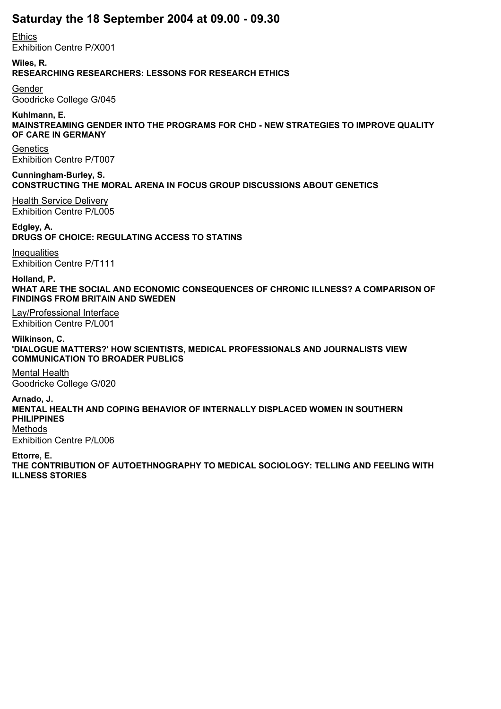## **Saturday the 18 September 2004 at 09.00 - 09.30**

**Ethics** Exhibition Centre P/X001

**Wiles, R. RESEARCHING RESEARCHERS: LESSONS FOR RESEARCH ETHICS**

Gender Goodricke College G/045

**Kuhlmann, E. MAINSTREAMING GENDER INTO THE PROGRAMS FOR CHD - NEW STRATEGIES TO IMPROVE QUALITY OF CARE IN GERMANY**

**Genetics** Exhibition Centre P/T007

**Cunningham-Burley, S. CONSTRUCTING THE MORAL ARENA IN FOCUS GROUP DISCUSSIONS ABOUT GENETICS**

Health Service Delivery Exhibition Centre P/L005

**Edgley, A. DRUGS OF CHOICE: REGULATING ACCESS TO STATINS**

**Inequalities** Exhibition Centre P/T111

**Holland, P. WHAT ARE THE SOCIAL AND ECONOMIC CONSEQUENCES OF CHRONIC ILLNESS? A COMPARISON OF FINDINGS FROM BRITAIN AND SWEDEN**

Lay/Professional Interface Exhibition Centre P/L001

**Wilkinson, C. 'DIALOGUE MATTERS?' HOW SCIENTISTS, MEDICAL PROFESSIONALS AND JOURNALISTS VIEW COMMUNICATION TO BROADER PUBLICS**

Mental Health Goodricke College G/020

**Arnado, J. MENTAL HEALTH AND COPING BEHAVIOR OF INTERNALLY DISPLACED WOMEN IN SOUTHERN PHILIPPINES** Methods

Exhibition Centre P/L006

**Ettorre, E. THE CONTRIBUTION OF AUTOETHNOGRAPHY TO MEDICAL SOCIOLOGY: TELLING AND FEELING WITH ILLNESS STORIES**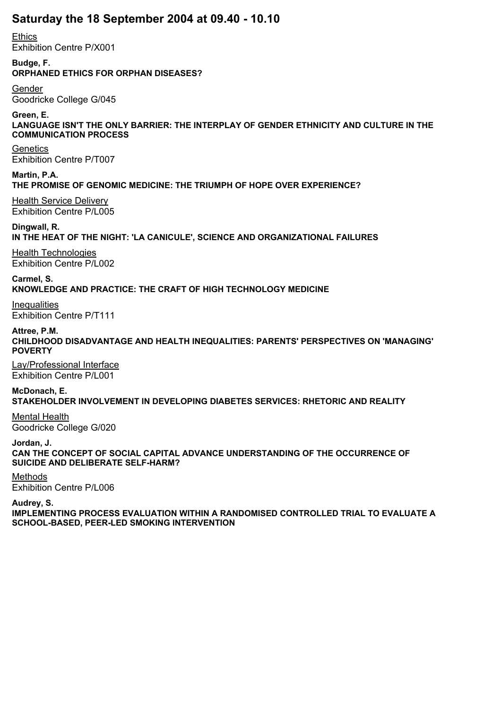### **Saturday the 18 September 2004 at 09.40 - 10.10**

**Ethics** Exhibition Centre P/X001

**Budge, F. ORPHANED ETHICS FOR ORPHAN DISEASES?**

Gender Goodricke College G/045

**Green, E. LANGUAGE ISN'T THE ONLY BARRIER: THE INTERPLAY OF GENDER ETHNICITY AND CULTURE IN THE COMMUNICATION PROCESS**

**Genetics** Exhibition Centre P/T007

**Martin, P.A. THE PROMISE OF GENOMIC MEDICINE: THE TRIUMPH OF HOPE OVER EXPERIENCE?**

Health Service Delivery Exhibition Centre P/L005

**Dingwall, R. IN THE HEAT OF THE NIGHT: 'LA CANICULE', SCIENCE AND ORGANIZATIONAL FAILURES**

Health Technologies Exhibition Centre P/L002

**Carmel, S. KNOWLEDGE AND PRACTICE: THE CRAFT OF HIGH TECHNOLOGY MEDICINE**

Inequalities Exhibition Centre P/T111

**Attree, P.M. CHILDHOOD DISADVANTAGE AND HEALTH INEQUALITIES: PARENTS' PERSPECTIVES ON 'MANAGING' POVERTY**

Lay/Professional Interface Exhibition Centre P/L001

**McDonach, E. STAKEHOLDER INVOLVEMENT IN DEVELOPING DIABETES SERVICES: RHETORIC AND REALITY**

Mental Health Goodricke College G/020

**Jordan, J. CAN THE CONCEPT OF SOCIAL CAPITAL ADVANCE UNDERSTANDING OF THE OCCURRENCE OF SUICIDE AND DELIBERATE SELF-HARM?**

Methods Exhibition Centre P/L006

**Audrey, S.**

**IMPLEMENTING PROCESS EVALUATION WITHIN A RANDOMISED CONTROLLED TRIAL TO EVALUATE A SCHOOL-BASED, PEER-LED SMOKING INTERVENTION**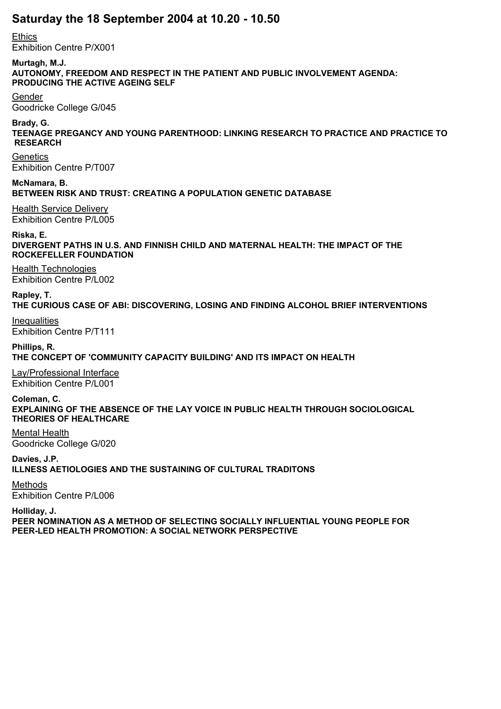### **Saturday the 18 September 2004 at 10.20 - 10.50**

**Ethics** 

Exhibition Centre P/X001

**Murtagh, M.J.**

**AUTONOMY, FREEDOM AND RESPECT IN THE PATIENT AND PUBLIC INVOLVEMENT AGENDA: PRODUCING THE ACTIVE AGEING SELF**

Gender

Goodricke College G/045

**Brady, G.**

**TEENAGE PREGANCY AND YOUNG PARENTHOOD: LINKING RESEARCH TO PRACTICE AND PRACTICE TO RESEARCH**

**Genetics** Exhibition Centre P/T007

**McNamara, B. BETWEEN RISK AND TRUST: CREATING A POPULATION GENETIC DATABASE**

Health Service Delivery Exhibition Centre P/L005

**Riska, E. DIVERGENT PATHS IN U.S. AND FINNISH CHILD AND MATERNAL HEALTH: THE IMPACT OF THE ROCKEFELLER FOUNDATION**

Health Technologies Exhibition Centre P/L002

**Rapley, T. THE CURIOUS CASE OF ABI: DISCOVERING, LOSING AND FINDING ALCOHOL BRIEF INTERVENTIONS**

**Inequalities** Exhibition Centre P/T111

**Phillips, R. THE CONCEPT OF 'COMMUNITY CAPACITY BUILDING' AND ITS IMPACT ON HEALTH**

Lay/Professional Interface Exhibition Centre P/L001

**Coleman, C. EXPLAINING OF THE ABSENCE OF THE LAY VOICE IN PUBLIC HEALTH THROUGH SOCIOLOGICAL THEORIES OF HEALTHCARE**

Mental Health Goodricke College G/020

**Davies, J.P. ILLNESS AETIOLOGIES AND THE SUSTAINING OF CULTURAL TRADITONS**

Methods Exhibition Centre P/L006

**Holliday, J. PEER NOMINATION AS A METHOD OF SELECTING SOCIALLY INFLUENTIAL YOUNG PEOPLE FOR PEER-LED HEALTH PROMOTION: A SOCIAL NETWORK PERSPECTIVE**